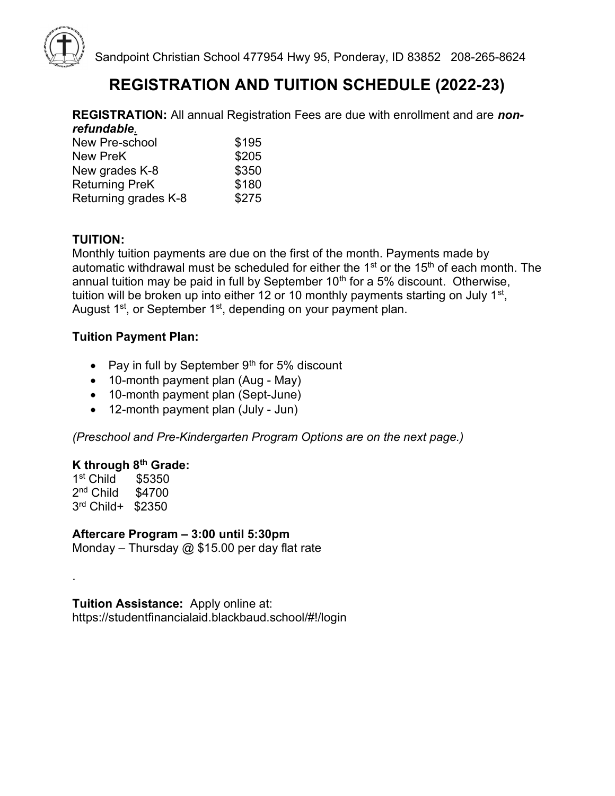

Sandpoint Christian School 477954 Hwy 95, Ponderay, ID 83852 208-265-8624

## REGISTRATION AND TUITION SCHEDULE (2022-23)

**REGISTRATION:** All annual Registration Fees are due with enrollment and are nonrefundable.

| New Pre-school        | \$195 |
|-----------------------|-------|
| <b>New PreK</b>       | \$205 |
| New grades K-8        | \$350 |
| <b>Returning PreK</b> | \$180 |
| Returning grades K-8  | \$275 |

## TUITION:

Monthly tuition payments are due on the first of the month. Payments made by automatic withdrawal must be scheduled for either the  $1<sup>st</sup>$  or the 15<sup>th</sup> of each month. The annual tuition may be paid in full by September  $10<sup>th</sup>$  for a 5% discount. Otherwise, tuition will be broken up into either 12 or 10 monthly payments starting on July 1 $^{\rm st}$ , August  $1<sup>st</sup>$ , or September  $1<sup>st</sup>$ , depending on your payment plan.

### Tuition Payment Plan:

- Pay in full by September  $9<sup>th</sup>$  for 5% discount
- 10-month payment plan (Aug May)
- 10-month payment plan (Sept-June)
- 12-month payment plan (July Jun)

(Preschool and Pre-Kindergarten Program Options are on the next page.)

### K through 8<sup>th</sup> Grade:

1 st Child \$5350 2 nd Child \$4700 3 rd Child+ \$2350

.

### Aftercare Program – 3:00 until 5:30pm

Monday – Thursday  $@$  \$15.00 per day flat rate

Tuition Assistance: Apply online at: https://studentfinancialaid.blackbaud.school/#!/login